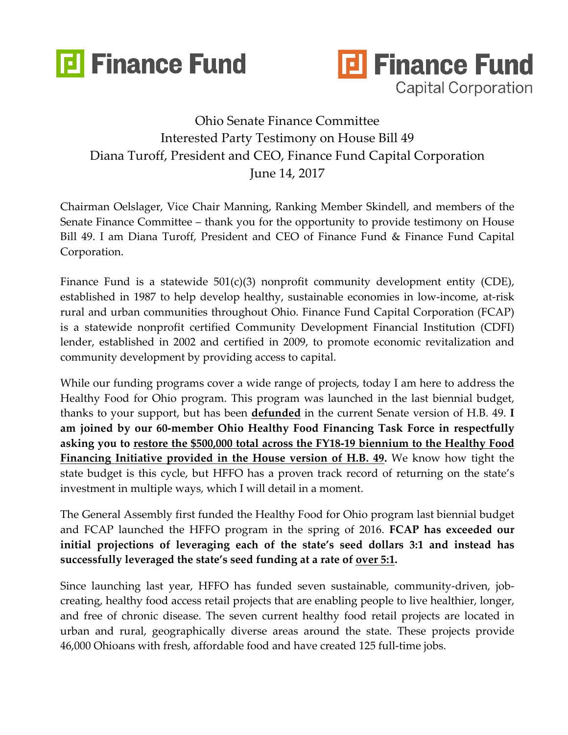



## Ohio Senate Finance Committee Interested Party Testimony on House Bill 49 Diana Turoff, President and CEO, Finance Fund Capital Corporation June 14, 2017

Chairman Oelslager, Vice Chair Manning, Ranking Member Skindell, and members of the Senate Finance Committee – thank you for the opportunity to provide testimony on House Bill 49. I am Diana Turoff, President and CEO of Finance Fund & Finance Fund Capital Corporation.

Finance Fund is a statewide  $501(c)(3)$  nonprofit community development entity (CDE), established in 1987 to help develop healthy, sustainable economies in low-income, at-risk rural and urban communities throughout Ohio. Finance Fund Capital Corporation (FCAP) is a statewide nonprofit certified Community Development Financial Institution (CDFI) lender, established in 2002 and certified in 2009, to promote economic revitalization and community development by providing access to capital.

While our funding programs cover a wide range of projects, today I am here to address the Healthy Food for Ohio program. This program was launched in the last biennial budget, thanks to your support, but has been **defunded** in the current Senate version of H.B. 49. **I am joined by our 60-member Ohio Healthy Food Financing Task Force in respectfully asking you to restore the \$500,000 total across the FY18-19 biennium to the Healthy Food Financing Initiative provided in the House version of H.B. 49.** We know how tight the state budget is this cycle, but HFFO has a proven track record of returning on the state's investment in multiple ways, which I will detail in a moment.

The General Assembly first funded the Healthy Food for Ohio program last biennial budget and FCAP launched the HFFO program in the spring of 2016. **FCAP has exceeded our initial projections of leveraging each of the state's seed dollars 3:1 and instead has successfully leveraged the state's seed funding at a rate of over 5:1.**

Since launching last year, HFFO has funded seven sustainable, community-driven, jobcreating, healthy food access retail projects that are enabling people to live healthier, longer, and free of chronic disease. The seven current healthy food retail projects are located in urban and rural, geographically diverse areas around the state. These projects provide 46,000 Ohioans with fresh, affordable food and have created 125 full-time jobs.